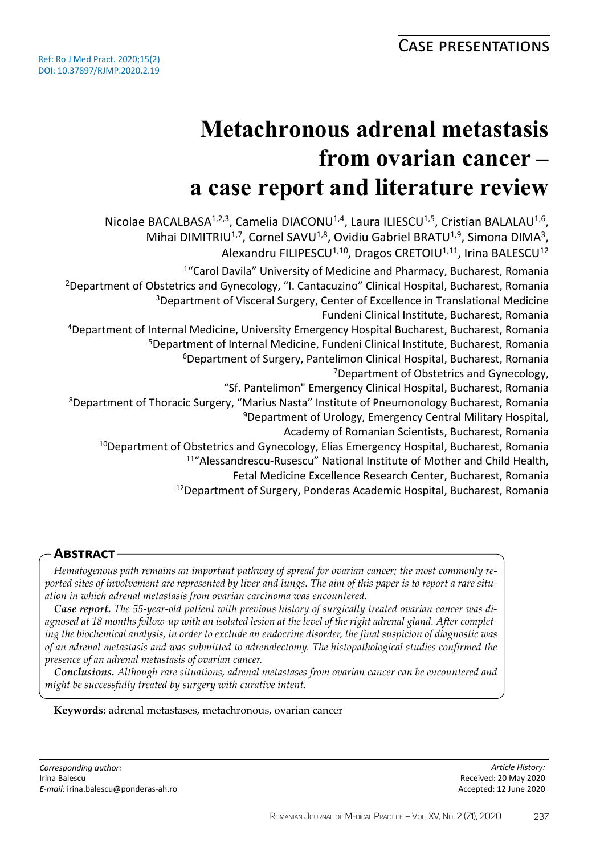# **Metachronous adrenal metastasis from ovarian cancer – a case report and literature review**

Nicolae BACALBASA<sup>1,2,3</sup>, Camelia DIACONU<sup>1,4</sup>, Laura ILIESCU<sup>1,5</sup>, Cristian BALALAU<sup>1,6</sup>, Mihai DIMITRIU<sup>1,7</sup>, Cornel SAVU<sup>1,8</sup>, Ovidiu Gabriel BRATU<sup>1,9</sup>, Simona DIMA<sup>3</sup>, Alexandru FILIPESCU<sup>1,10</sup>, Dragos CRETOIU<sup>1,11</sup>, Irina BALESCU<sup>12</sup> <sup>1</sup>"Carol Davila" University of Medicine and Pharmacy, Bucharest, Romania <sup>2</sup>Department of Obstetrics and Gynecology, "I. Cantacuzino" Clinical Hospital, Bucharest, Romania <sup>3</sup>Department of Visceral Surgery, Center of Excellence in Translational Medicine Fundeni Clinical Institute, Bucharest, Romania <sup>4</sup>Department of Internal Medicine, University Emergency Hospital Bucharest, Bucharest, Romania <sup>5</sup>Department of Internal Medicine, Fundeni Clinical Institute, Bucharest, Romania <sup>6</sup>Department of Surgery, Pantelimon Clinical Hospital, Bucharest, Romania <sup>7</sup>Department of Obstetrics and Gynecology, "Sf. Pantelimon" Emergency Clinical Hospital, Bucharest, Romania <sup>8</sup>Department of Thoracic Surgery, "Marius Nasta" Institute of Pneumonology Bucharest, Romania <sup>9</sup>Department of Urology, Emergency Central Military Hospital, Academy of Romanian Scientists, Bucharest, Romania <sup>10</sup>Department of Obstetrics and Gynecology, Elias Emergency Hospital, Bucharest, Romania <sup>11</sup>"Alessandrescu-Rusescu" National Institute of Mother and Child Health, Fetal Medicine Excellence Research Center, Bucharest, Romania <sup>12</sup>Department of Surgery, Ponderas Academic Hospital, Bucharest, Romania

# **Abstract**

*Hematogenous path remains an important pathway of spread for ovarian cancer; the most commonly reported sites of involvement are represented by liver and lungs. The aim of this paper is to report a rare situation in which adrenal metastasis from ovarian carcinoma was encountered.* 

*Case report. The 55-year-old patient with previous history of surgically treated ovarian cancer was diagnosed at 18 months follow-up with an isolated lesion at the level of the right adrenal gland. After completing the biochemical analysis, in order to exclude an endocrine disorder, the final suspicion of diagnostic was of an adrenal metastasis and was submitted to adrenalectomy. The histopathological studies confirmed the presence of an adrenal metastasis of ovarian cancer.* 

*Conclusions. Although rare situations, adrenal metastases from ovarian cancer can be encountered and might be successfully treated by surgery with curative intent.*

## **Keywords:** adrenal metastases, metachronous, ovarian cancer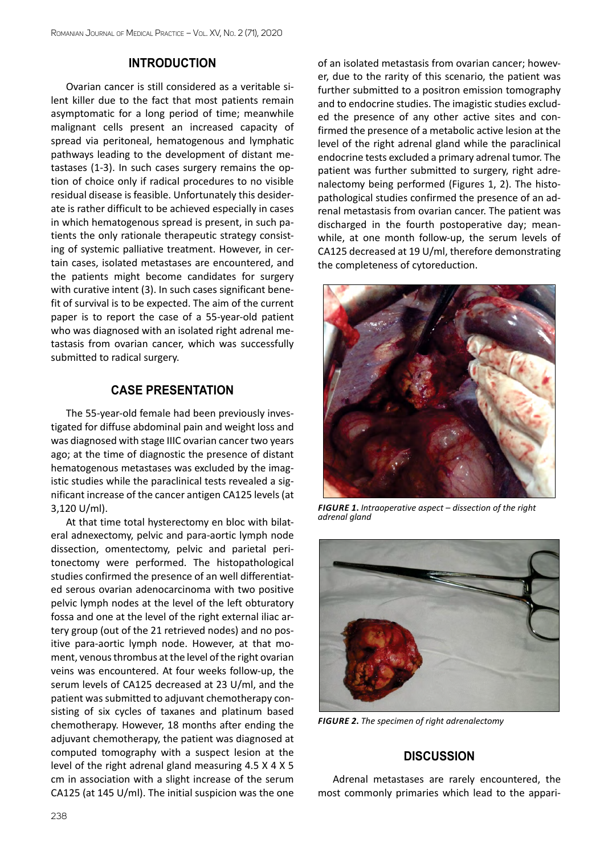## **INTRODUCTION**

Ovarian cancer is still considered as a veritable silent killer due to the fact that most patients remain asymptomatic for a long period of time; meanwhile malignant cells present an increased capacity of spread via peritoneal, hematogenous and lymphatic pathways leading to the development of distant metastases (1-3). In such cases surgery remains the option of choice only if radical procedures to no visible residual disease is feasible. Unfortunately this desiderate is rather difficult to be achieved especially in cases in which hematogenous spread is present, in such patients the only rationale therapeutic strategy consisting of systemic palliative treatment. However, in certain cases, isolated metastases are encountered, and the patients might become candidates for surgery with curative intent (3). In such cases significant benefit of survival is to be expected. The aim of the current paper is to report the case of a 55-year-old patient who was diagnosed with an isolated right adrenal metastasis from ovarian cancer, which was successfully submitted to radical surgery.

## **CASE PRESENTATION**

The 55-year-old female had been previously investigated for diffuse abdominal pain and weight loss and was diagnosed with stage IIIC ovarian cancer two years ago; at the time of diagnostic the presence of distant hematogenous metastases was excluded by the imagistic studies while the paraclinical tests revealed a significant increase of the cancer antigen CA125 levels (at 3,120 U/ml).

At that time total hysterectomy en bloc with bilateral adnexectomy, pelvic and para-aortic lymph node dissection, omentectomy, pelvic and parietal peritonectomy were performed. The histopathological studies confirmed the presence of an well differentiated serous ovarian adenocarcinoma with two positive pelvic lymph nodes at the level of the left obturatory fossa and one at the level of the right external iliac artery group (out of the 21 retrieved nodes) and no positive para-aortic lymph node. However, at that moment, venous thrombus at the level of the right ovarian veins was encountered. At four weeks follow-up, the serum levels of CA125 decreased at 23 U/ml, and the patient was submitted to adjuvant chemotherapy consisting of six cycles of taxanes and platinum based chemotherapy. However, 18 months after ending the adjuvant chemotherapy, the patient was diagnosed at computed tomography with a suspect lesion at the level of the right adrenal gland measuring 4.5 X 4 X 5 cm in association with a slight increase of the serum CA125 (at 145 U/ml). The initial suspicion was the one of an isolated metastasis from ovarian cancer; however, due to the rarity of this scenario, the patient was further submitted to a positron emission tomography and to endocrine studies. The imagistic studies excluded the presence of any other active sites and confirmed the presence of a metabolic active lesion at the level of the right adrenal gland while the paraclinical endocrine tests excluded a primary adrenal tumor. The patient was further submitted to surgery, right adrenalectomy being performed (Figures 1, 2). The histopathological studies confirmed the presence of an adrenal metastasis from ovarian cancer. The patient was discharged in the fourth postoperative day; meanwhile, at one month follow-up, the serum levels of CA125 decreased at 19 U/ml, therefore demonstrating the completeness of cytoreduction.



*Figure 1***.** *Intraoperative aspect – dissection of the right adrenal gland*



*Figure 2***.** *The specimen of right adrenalectomy*

## **DISCUSSION**

Adrenal metastases are rarely encountered, the most commonly primaries which lead to the appari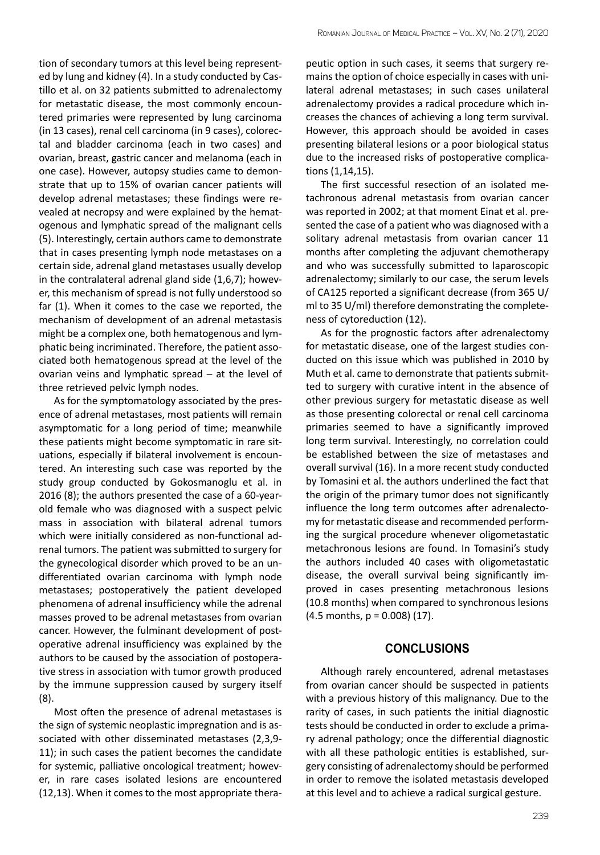tion of secondary tumors at this level being represented by lung and kidney (4). In a study conducted by Castillo et al. on 32 patients submitted to adrenalectomy for metastatic disease, the most commonly encountered primaries were represented by lung carcinoma (in 13 cases), renal cell carcinoma (in 9 cases), colorectal and bladder carcinoma (each in two cases) and ovarian, breast, gastric cancer and melanoma (each in one case). However, autopsy studies came to demonstrate that up to 15% of ovarian cancer patients will develop adrenal metastases; these findings were revealed at necropsy and were explained by the hematogenous and lymphatic spread of the malignant cells (5). Interestingly, certain authors came to demonstrate that in cases presenting lymph node metastases on a certain side, adrenal gland metastases usually develop in the contralateral adrenal gland side (1,6,7); however, this mechanism of spread is not fully understood so far (1). When it comes to the case we reported, the mechanism of development of an adrenal metastasis might be a complex one, both hematogenous and lymphatic being incriminated. Therefore, the patient associated both hematogenous spread at the level of the ovarian veins and lymphatic spread – at the level of three retrieved pelvic lymph nodes.

As for the symptomatology associated by the presence of adrenal metastases, most patients will remain asymptomatic for a long period of time; meanwhile these patients might become symptomatic in rare situations, especially if bilateral involvement is encountered. An interesting such case was reported by the study group conducted by Gokosmanoglu et al. in 2016 (8); the authors presented the case of a 60-yearold female who was diagnosed with a suspect pelvic mass in association with bilateral adrenal tumors which were initially considered as non-functional adrenal tumors. The patient was submitted to surgery for the gynecological disorder which proved to be an undifferentiated ovarian carcinoma with lymph node metastases; postoperatively the patient developed phenomena of adrenal insufficiency while the adrenal masses proved to be adrenal metastases from ovarian cancer. However, the fulminant development of postoperative adrenal insufficiency was explained by the authors to be caused by the association of postoperative stress in association with tumor growth produced by the immune suppression caused by surgery itself (8).

Most often the presence of adrenal metastases is the sign of systemic neoplastic impregnation and is associated with other disseminated metastases (2,3,9- 11); in such cases the patient becomes the candidate for systemic, palliative oncological treatment; however, in rare cases isolated lesions are encountered (12,13). When it comes to the most appropriate therapeutic option in such cases, it seems that surgery remains the option of choice especially in cases with unilateral adrenal metastases; in such cases unilateral adrenalectomy provides a radical procedure which increases the chances of achieving a long term survival. However, this approach should be avoided in cases presenting bilateral lesions or a poor biological status due to the increased risks of postoperative complications (1,14,15).

The first successful resection of an isolated metachronous adrenal metastasis from ovarian cancer was reported in 2002; at that moment Einat et al. presented the case of a patient who was diagnosed with a solitary adrenal metastasis from ovarian cancer 11 months after completing the adjuvant chemotherapy and who was successfully submitted to laparoscopic adrenalectomy; similarly to our case, the serum levels of CA125 reported a significant decrease (from 365 U/ ml to 35 U/ml) therefore demonstrating the completeness of cytoreduction (12).

As for the prognostic factors after adrenalectomy for metastatic disease, one of the largest studies conducted on this issue which was published in 2010 by Muth et al. came to demonstrate that patients submitted to surgery with curative intent in the absence of other previous surgery for metastatic disease as well as those presenting colorectal or renal cell carcinoma primaries seemed to have a significantly improved long term survival. Interestingly, no correlation could be established between the size of metastases and overall survival (16). In a more recent study conducted by Tomasini et al. the authors underlined the fact that the origin of the primary tumor does not significantly influence the long term outcomes after adrenalectomy for metastatic disease and recommended performing the surgical procedure whenever oligometastatic metachronous lesions are found. In Tomasini's study the authors included 40 cases with oligometastatic disease, the overall survival being significantly improved in cases presenting metachronous lesions (10.8 months) when compared to synchronous lesions  $(4.5$  months,  $p = 0.008$  (17).

### **CONCLUSIONS**

Although rarely encountered, adrenal metastases from ovarian cancer should be suspected in patients with a previous history of this malignancy. Due to the rarity of cases, in such patients the initial diagnostic tests should be conducted in order to exclude a primary adrenal pathology; once the differential diagnostic with all these pathologic entities is established, surgery consisting of adrenalectomy should be performed in order to remove the isolated metastasis developed at this level and to achieve a radical surgical gesture.